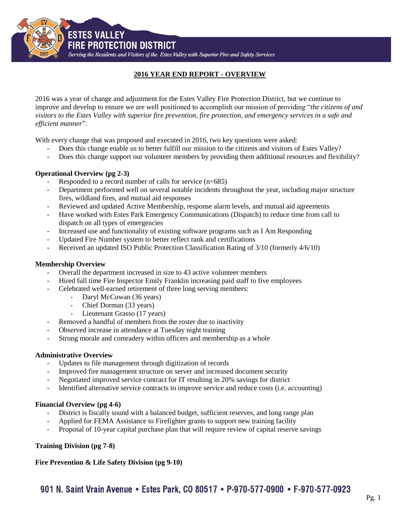**FIRE PROTECTION DISTRICT** 

**ESTES VALLEY** 

Serving the Residents and Visitors of the Estes Valley with Superior Fire and Safety Services

# **2016 YEAR END REPORT - OVERVIEW**

2016 was a year of change and adjustment for the Estes Valley Fire Protection District, but we continue to improve and develop to ensure we are well positioned to accomplish our mission of providing "*the citizens of and visitors to the Estes Valley with superior fire prevention, fire protection, and emergency services in a safe and efficient manner*".

With every change that was proposed and executed in 2016, two key questions were asked:

- Does this change enable us to better fulfill our mission to the citizens and visitors of Estes Valley?
- Does this change support our volunteer members by providing them additional resources and flexibility?

# **Operational Overview (pg 2-3)**

- Responded to a record number of calls for service  $(n=685)$
- Department performed well on several notable incidents throughout the year, including major structure fires, wildland fires, and mutual aid responses
- Reviewed and updated Active Membership, response alarm levels, and mutual aid agreements
- Have worked with Estes Park Emergency Communications (Dispatch) to reduce time from call to dispatch on all types of emergencies
- Increased use and functionality of existing software programs such as I Am Responding
- Updated Fire Number system to better reflect rank and certifications
- Received an updated ISO Public Protection Classification Rating of 3/10 (formerly 4/6/10)

# **Membership Overview**

- Overall the department increased in size to 43 active volunteer members
- Hired full time Fire Inspector Emily Franklin increasing paid staff to five employees
- Celebrated well-earned retirement of three long serving members:
	- Daryl McCowan (36 years)
	- Chief Dorman (33 years)
	- Lieutenant Grasso (17 years)
- Removed a handful of members from the roster due to inactivity
- Observed increase in attendance at Tuesday night training
- Strong morale and comradery within officers and membership as a whole

#### **Administrative Overview**

- Updates to file management through digitization of records
- Improved fire management structure on server and increased document security
- Negotiated improved service contract for IT resulting in 20% savings for district
- Identified alternative service contracts to improve service and reduce costs (i.e. accounting)

#### **Financial Overview (pg 4-6)**

- District is fiscally sound with a balanced budget, sufficient reserves, and long range plan
- Applied for FEMA Assistance to Firefighter grants to support new training facility
- Proposal of 10-year capital purchase plan that will require review of capital reserve savings

# **Training Division (pg 7-8)**

# **Fire Prevention & Life Safety Division (pg 9-10)**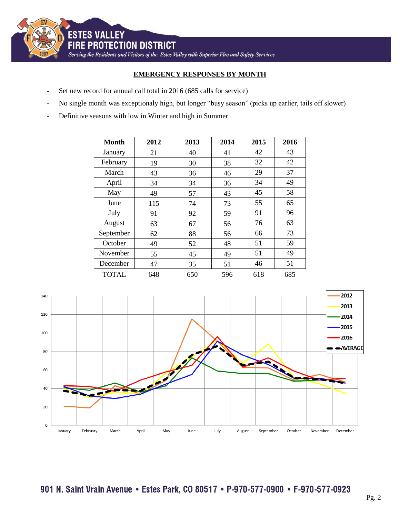

# **EMERGENCY RESPONSES BY MONTH**

- Set new record for annual call total in 2016 (685 calls for service)
- No single month was exceptionaly high, but longer "busy season" (picks up earlier, tails off slower)
- Definitive seasons with low in Winter and high in Summer

| <b>Month</b> | 2012 | 2013 | 2014 | 2015 | 2016 |
|--------------|------|------|------|------|------|
| January      | 21   | 40   | 41   | 42   | 43   |
| February     | 19   | 30   | 38   | 32   | 42   |
| March        | 43   | 36   | 46   | 29   | 37   |
| April        | 34   | 34   | 36   | 34   | 49   |
| May          | 49   | 57   | 43   | 45   | 58   |
| June         | 115  | 74   | 73   | 55   | 65   |
| July         | 91   | 92   | 59   | 91   | 96   |
| August       | 63   | 67   | 56   | 76   | 63   |
| September    | 62   | 88   | 56   | 66   | 73   |
| October      | 49   | 52   | 48   | 51   | 59   |
| November     | 55   | 45   | 49   | 51   | 49   |
| December     | 47   | 35   | 51   | 46   | 51   |
| <b>TOTAL</b> | 648  | 650  | 596  | 618  | 685  |

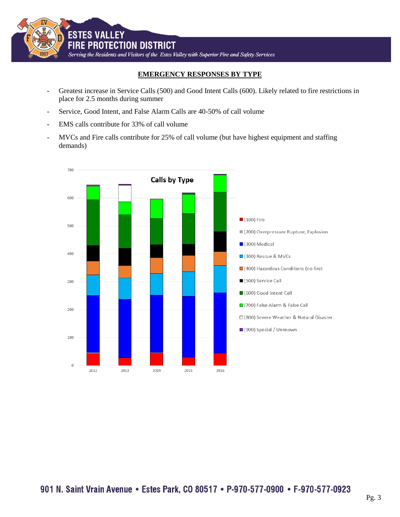

# **EMERGENCY RESPONSES BY TYPE**

- Greatest increase in Service Calls (500) and Good Intent Calls (600). Likely related to fire restrictions in place for 2.5 months during summer
- Service, Good Intent, and False Alarm Calls are 40-50% of call volume
- EMS calls contribute for 33% of call volume
- MVCs and Fire calls contribute for 25% of call volume (but have highest equipment and staffing demands)

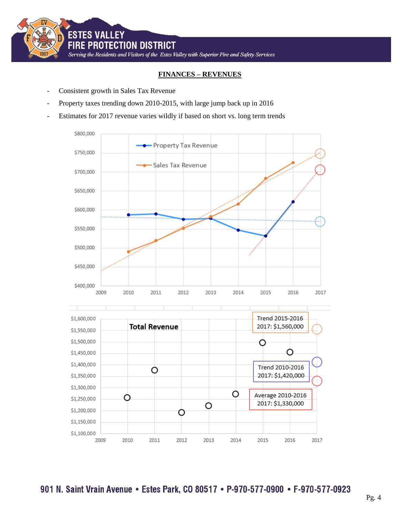

# **FINANCES – REVENUES**

- Consistent growth in Sales Tax Revenue
- Property taxes trending down 2010-2015, with large jump back up in 2016
- Estimates for 2017 revenue varies wildly if based on short vs. long term trends



901 N. Saint Vrain Avenue • Estes Park, CO 80517 • P-970-577-0900 • F-970-577-0923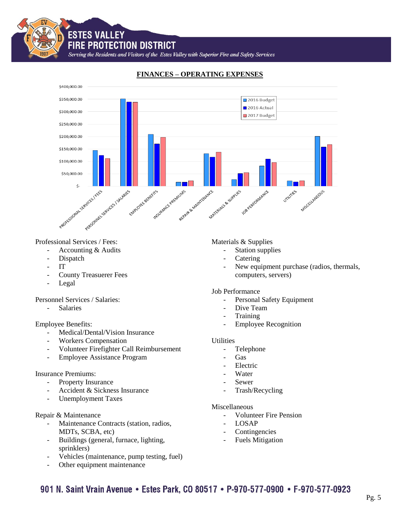**FIRE PROTECTION DISTRICT** 

**ESTES VALLEY** 

Serving the Residents and Visitors of the Estes Valley with Superior Fire and Safety Services



# **FINANCES – OPERATING EXPENSES**

Professional Services / Fees:

- Accounting & Audits
- Dispatch
- IT
- County Treasuerer Fees
- Legal

Personnel Services / Salaries:

- Salaries

Employee Benefits:

- Medical/Dental/Vision Insurance
- Workers Compensation
- Volunteer Firefighter Call Reimbursement
- Employee Assistance Program

#### Insurance Premiums:

- Property Insurance
- Accident & Sickness Insurance
- Unemployment Taxes

# Repair & Maintenance

- Maintenance Contracts (station, radios, MDTs, SCBA, etc)
- Buildings (general, furnace, lighting, sprinklers)
- Vehicles (maintenance, pump testing, fuel)
- Other equipment maintenance

# Materials & Supplies

- Station supplies
- **Catering**
- New equipment purchase (radios, thermals, computers, servers)

#### Job Performance

- Personal Safety Equipment
- Dive Team
- **Training**
- Employee Recognition

# **Utilities**

- Telephone
- Gas
- **Electric**
- Water
- Sewer
- Trash/Recycling

# Miscellaneous

- Volunteer Fire Pension
- **LOSAP**
- Contingencies
- Fuels Mitigation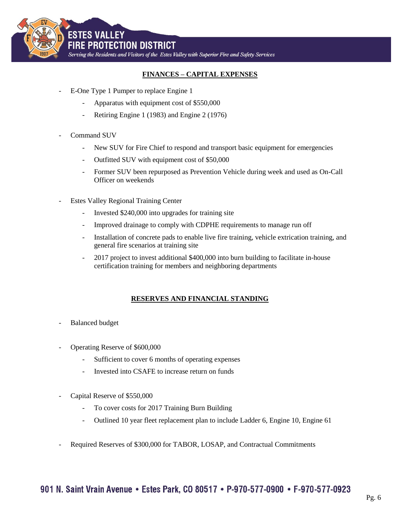

# **FINANCES – CAPITAL EXPENSES**

- E-One Type 1 Pumper to replace Engine 1
	- Apparatus with equipment cost of \$550,000
	- Retiring Engine 1 (1983) and Engine 2 (1976)
- Command SUV
	- New SUV for Fire Chief to respond and transport basic equipment for emergencies
	- Outfitted SUV with equipment cost of \$50,000
	- Former SUV been repurposed as Prevention Vehicle during week and used as On-Call Officer on weekends
- Estes Valley Regional Training Center
	- Invested \$240,000 into upgrades for training site
	- Improved drainage to comply with CDPHE requirements to manage run off
	- Installation of concrete pads to enable live fire training, vehicle extrication training, and general fire scenarios at training site
	- 2017 project to invest additional \$400,000 into burn building to facilitate in-house certification training for members and neighboring departments

# **RESERVES AND FINANCIAL STANDING**

- Balanced budget
- Operating Reserve of \$600,000
	- Sufficient to cover 6 months of operating expenses
	- Invested into CSAFE to increase return on funds
- Capital Reserve of \$550,000
	- To cover costs for 2017 Training Burn Building
	- Outlined 10 year fleet replacement plan to include Ladder 6, Engine 10, Engine 61
- Required Reserves of \$300,000 for TABOR, LOSAP, and Contractual Commitments

# 901 N. Saint Vrain Avenue • Estes Park, CO 80517 • P-970-577-0900 • F-970-577-0923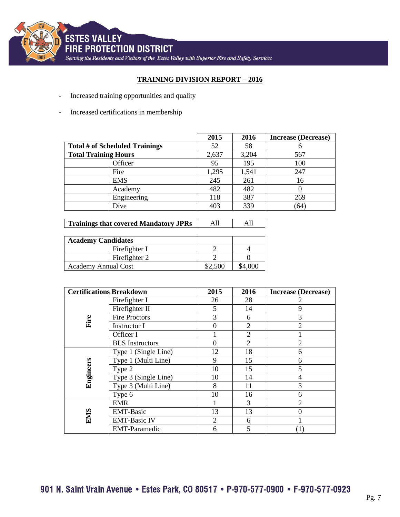

# **TRAINING DIVISION REPORT – 2016**

- Increased training opportunities and quality
- Increased certifications in membership

|                                | 2015  | 2016  | <b>Increase (Decrease)</b> |
|--------------------------------|-------|-------|----------------------------|
| Total # of Scheduled Trainings | 52    | 58    |                            |
| <b>Total Training Hours</b>    | 2,637 | 3,204 | 567                        |
| Officer                        | 95    | 195   | 100                        |
| Fire                           | 1,295 | 1,541 | 247                        |
| <b>EMS</b>                     | 245   | 261   | 16                         |
| Academy                        | 482   | 482   |                            |
| Engineering                    | 118   | 387   | 269                        |
| Dive                           | 403   | 339   | 64                         |

| <b>Academy Candidates</b>  |               |         |  |
|----------------------------|---------------|---------|--|
|                            | Firefighter I |         |  |
|                            | Firefighter 2 |         |  |
| <b>Academy Annual Cost</b> |               | \$2,500 |  |

| <b>Certifications Breakdown</b> |                        | 2015           | 2016           | <b>Increase (Decrease)</b> |
|---------------------------------|------------------------|----------------|----------------|----------------------------|
| Fire                            | Firefighter I          | 26             | 28             | $\overline{2}$             |
|                                 | Firefighter II         | 5              | 14             | 9                          |
|                                 | <b>Fire Proctors</b>   | 3              | 6              | 3                          |
|                                 | <b>Instructor I</b>    |                | $\overline{2}$ | $\overline{2}$             |
|                                 | Officer I              |                | $\overline{2}$ |                            |
|                                 | <b>BLS</b> Instructors |                | $\overline{2}$ | $\overline{2}$             |
| Engineers                       | Type 1 (Single Line)   | 12             | 18             | 6                          |
|                                 | Type 1 (Multi Line)    | 9              | 15             | 6                          |
|                                 | Type 2                 | 10             | 15             | 5                          |
|                                 | Type 3 (Single Line)   | 10             | 14             | $\overline{4}$             |
|                                 | Type 3 (Multi Line)    | 8              | 11             | 3                          |
|                                 | Type 6                 | 10             | 16             | 6                          |
| <b>EMS</b>                      | <b>EMR</b>             |                | 3              | $\overline{2}$             |
|                                 | <b>EMT-Basic</b>       | 13             | 13             | $\theta$                   |
|                                 | <b>EMT-Basic IV</b>    | $\overline{2}$ | 6              |                            |
|                                 | <b>EMT-Paramedic</b>   | 6              | 5              |                            |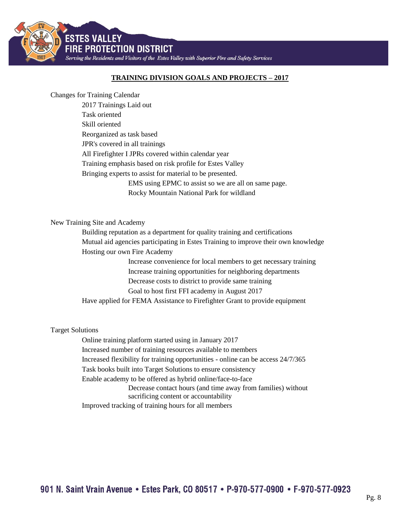

# **TRAINING DIVISION GOALS AND PROJECTS – 2017**

Changes for Training Calendar

2017 Trainings Laid out Task oriented Skill oriented Reorganized as task based JPR's covered in all trainings All Firefighter I JPRs covered within calendar year Training emphasis based on risk profile for Estes Valley Bringing experts to assist for material to be presented. EMS using EPMC to assist so we are all on same page. Rocky Mountain National Park for wildland

#### New Training Site and Academy

Building reputation as a department for quality training and certifications Mutual aid agencies participating in Estes Training to improve their own knowledge Hosting our own Fire Academy

> Increase convenience for local members to get necessary training Increase training opportunities for neighboring departments Decrease costs to district to provide same training Goal to host first FFI academy in August 2017

Have applied for FEMA Assistance to Firefighter Grant to provide equipment

#### Target Solutions

Online training platform started using in January 2017 Increased number of training resources available to members Increased flexibility for training opportunities - online can be access 24/7/365 Task books built into Target Solutions to ensure consistency Enable academy to be offered as hybrid online/face-to-face Decrease contact hours (and time away from families) without sacrificing content or accountability Improved tracking of training hours for all members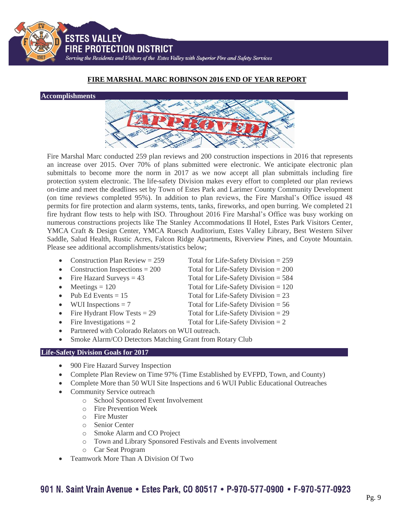901 N. Saint Vrain Avenue • Estes Park, CO 80517 • P-970-577-0900 • F-970-577-0923

# **FIRE MARSHAL MARC ROBINSON 2016 END OF YEAR REPORT**

Fire Marshal Marc conducted 259 plan reviews and 200 construction inspections in 2016 that represents an increase over 2015. Over 70% of plans submitted were electronic. We anticipate electronic plan submittals to become more the norm in 2017 as we now accept all plan submittals including fire protection system electronic. The life-safety Division makes every effort to completed our plan reviews on-time and meet the deadlines set by Town of Estes Park and Larimer County Community Development (on time reviews completed 95%). In addition to plan reviews, the Fire Marshal's Office issued 48 permits for fire protection and alarm systems, tents, tanks, fireworks, and open burring. We completed 21 fire hydrant flow tests to help with ISO. Throughout 2016 Fire Marshal's Office was busy working on numerous constructions projects like The Stanley Accommodations II Hotel, Estes Park Visitors Center, YMCA Craft & Design Center, YMCA Ruesch Auditorium, Estes Valley Library, Best Western Silver Saddle, Salud Health, Rustic Acres, Falcon Ridge Apartments, Riverview Pines, and Coyote Mountain. Please see additional accomplishments/statistics below;

- 
- Construction Inspections  $= 200$  Total for Life-Safety Division  $= 200$
- 
- $\bullet$  Meetings = 120 Total for Life-Safety Division = 120

**Accomplishments** 

- 
- 
- Fire Hydrant Flow Tests  $= 29$  Total for Life-Safety Division  $= 29$
- 
- Partnered with Colorado Relators on WUI outreach.
- Smoke Alarm/CO Detectors Matching Grant from Rotary Club

# **Life-Safety Division Goals for 2017**

- 900 Fire Hazard Survey Inspection
- Complete Plan Review on Time 97% (Time Established by EVFPD, Town, and County)
- Complete More than 50 WUI Site Inspections and 6 WUI Public Educational Outreaches
- Community Service outreach
	- o School Sponsored Event Involvement
	- o Fire Prevention Week
	- o Fire Muster
	- o Senior Center
	- o Smoke Alarm and CO Project
	- o Town and Library Sponsored Festivals and Events involvement
	- o Car Seat Program
- Teamwork More Than A Division Of Two
- Construction Plan Review =  $259$  Total for Life-Safety Division =  $259$ 
	-
	-
- Pub Ed Events  $= 15$  Total for Life-Safety Division  $= 23$
- WUI Inspections  $= 7$  Total for Life-Safety Division  $= 56$ 
	-
- Fire Investigations  $= 2$  Total for Life-Safety Division  $= 2$



• Fire Hazard Surveys  $= 43$  Total for Life-Safety Division  $= 584$